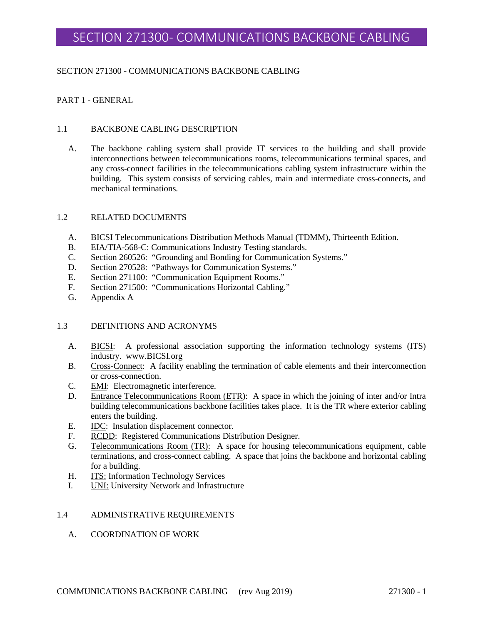### SECTION 271300 - COMMUNICATIONS BACKBONE CABLING

### PART 1 - GENERAL

#### 1.1 BACKBONE CABLING DESCRIPTION

A. The backbone cabling system shall provide IT services to the building and shall provide interconnections between telecommunications rooms, telecommunications terminal spaces, and any cross-connect facilities in the telecommunications cabling system infrastructure within the building. This system consists of servicing cables, main and intermediate cross-connects, and mechanical terminations.

#### 1.2 RELATED DOCUMENTS

- A. BICSI Telecommunications Distribution Methods Manual (TDMM), Thirteenth Edition.
- B. EIA/TIA-568-C: Communications Industry Testing standards.
- C. Section 260526: "Grounding and Bonding for Communication Systems."
- D. Section 270528: "Pathways for Communication Systems."
- E. Section 271100: "Communication Equipment Rooms."
- F. Section 271500: "Communications Horizontal Cabling."
- G. Appendix A

#### 1.3 DEFINITIONS AND ACRONYMS

- A. BICSI: A professional association supporting the information technology systems (ITS) industry. www.BICSI.org
- B. Cross-Connect: A facility enabling the termination of cable elements and their interconnection or cross-connection.
- C. EMI: Electromagnetic interference.
- D. Entrance Telecommunications Room (ETR): A space in which the joining of inter and/or Intra building telecommunications backbone facilities takes place. It is the TR where exterior cabling enters the building.
- E. IDC: Insulation displacement connector.
- F. RCDD: Registered Communications Distribution Designer.
- G. Telecommunications Room (TR): A space for housing telecommunications equipment, cable terminations, and cross-connect cabling. A space that joins the backbone and horizontal cabling for a building.
- H. **ITS:** Information Technology Services
- I. **UNI:** University Network and Infrastructure

#### 1.4 ADMINISTRATIVE REQUIREMENTS

#### A. COORDINATION OF WORK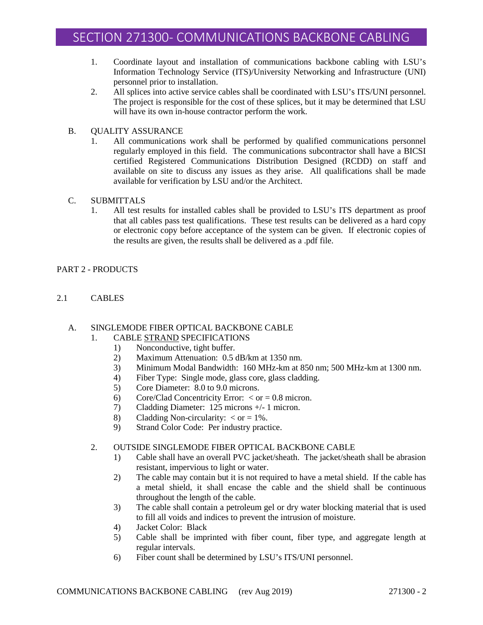- 1. Coordinate layout and installation of communications backbone cabling with LSU's Information Technology Service (ITS)/University Networking and Infrastructure (UNI) personnel prior to installation.
- 2. All splices into active service cables shall be coordinated with LSU's ITS/UNI personnel. The project is responsible for the cost of these splices, but it may be determined that LSU will have its own in-house contractor perform the work.
- B. QUALITY ASSURANCE
	- 1. All communications work shall be performed by qualified communications personnel regularly employed in this field. The communications subcontractor shall have a BICSI certified Registered Communications Distribution Designed (RCDD) on staff and available on site to discuss any issues as they arise. All qualifications shall be made available for verification by LSU and/or the Architect.
- C. SUBMITTALS
	- 1. All test results for installed cables shall be provided to LSU's ITS department as proof that all cables pass test qualifications. These test results can be delivered as a hard copy or electronic copy before acceptance of the system can be given. If electronic copies of the results are given, the results shall be delivered as a .pdf file.

# PART 2 - PRODUCTS

2.1 CABLES

# A. SINGLEMODE FIBER OPTICAL BACKBONE CABLE

- 1. CABLE STRAND SPECIFICATIONS
	- 1) Nonconductive, tight buffer.
	- 2) Maximum Attenuation: 0.5 dB/km at 1350 nm.
	- 3) Minimum Modal Bandwidth: 160 MHz-km at 850 nm; 500 MHz-km at 1300 nm.
	- 4) Fiber Type: Single mode, glass core, glass cladding.
	- 5) Core Diameter: 8.0 to 9.0 microns.
	- 6) Core/Clad Concentricity Error:  $\langle$  or = 0.8 micron.
	- 7) Cladding Diameter: 125 microns +/- 1 micron.
	- 8) Cladding Non-circularity:  $\langle$  or = 1%.
	- 9) Strand Color Code: Per industry practice.

# 2. OUTSIDE SINGLEMODE FIBER OPTICAL BACKBONE CABLE

- 1) Cable shall have an overall PVC jacket/sheath. The jacket/sheath shall be abrasion resistant, impervious to light or water.
- 2) The cable may contain but it is not required to have a metal shield. If the cable has a metal shield, it shall encase the cable and the shield shall be continuous throughout the length of the cable.
- 3) The cable shall contain a petroleum gel or dry water blocking material that is used to fill all voids and indices to prevent the intrusion of moisture.
- 4) Jacket Color: Black
- 5) Cable shall be imprinted with fiber count, fiber type, and aggregate length at regular intervals.
- 6) Fiber count shall be determined by LSU's ITS/UNI personnel.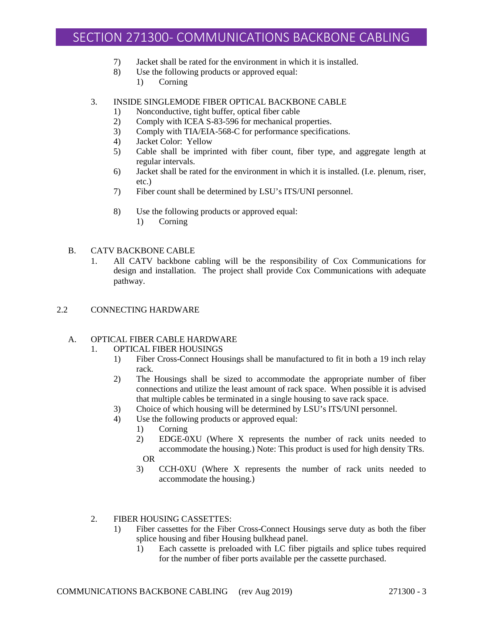- 7) Jacket shall be rated for the environment in which it is installed.
- 8) Use the following products or approved equal:
	- 1) Corning

#### 3. INSIDE SINGLEMODE FIBER OPTICAL BACKBONE CABLE

- 1) Nonconductive, tight buffer, optical fiber cable
- 2) Comply with ICEA S-83-596 for mechanical properties.
- 3) Comply with TIA/EIA-568-C for performance specifications.
- 4) Jacket Color: Yellow
- 5) Cable shall be imprinted with fiber count, fiber type, and aggregate length at regular intervals.
- 6) Jacket shall be rated for the environment in which it is installed. (I.e. plenum, riser, etc.)
- 7) Fiber count shall be determined by LSU's ITS/UNI personnel.
- 8) Use the following products or approved equal:
	- 1) Corning

#### B. CATV BACKBONE CABLE

1. All CATV backbone cabling will be the responsibility of Cox Communications for design and installation. The project shall provide Cox Communications with adequate pathway.

#### 2.2 CONNECTING HARDWARE

# A. OPTICAL FIBER CABLE HARDWARE

#### 1. OPTICAL FIBER HOUSINGS

- 1) Fiber Cross-Connect Housings shall be manufactured to fit in both a 19 inch relay rack.
- 2) The Housings shall be sized to accommodate the appropriate number of fiber connections and utilize the least amount of rack space. When possible it is advised that multiple cables be terminated in a single housing to save rack space.
- 3) Choice of which housing will be determined by LSU's ITS/UNI personnel.
- 4) Use the following products or approved equal:
	- 1) Corning
	- 2) EDGE-0XU (Where X represents the number of rack units needed to accommodate the housing.) Note: This product is used for high density TRs. OR
	- 3) CCH-0XU (Where X represents the number of rack units needed to accommodate the housing.)

#### 2. FIBER HOUSING CASSETTES:

- 1) Fiber cassettes for the Fiber Cross-Connect Housings serve duty as both the fiber splice housing and fiber Housing bulkhead panel.
	- 1) Each cassette is preloaded with LC fiber pigtails and splice tubes required for the number of fiber ports available per the cassette purchased.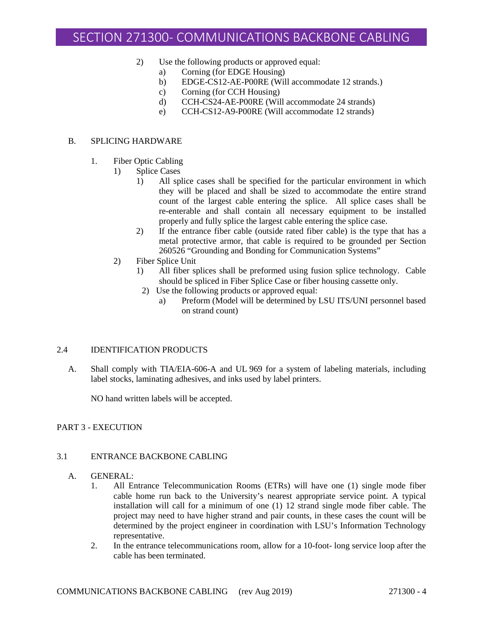- 2) Use the following products or approved equal:
	- a) Corning (for EDGE Housing)
	- b) EDGE-CS12-AE-P00RE (Will accommodate 12 strands.)
	- c) Corning (for CCH Housing)
	- d) CCH-CS24-AE-P00RE (Will accommodate 24 strands)
	- e) CCH-CS12-A9-P00RE (Will accommodate 12 strands)

#### B. SPLICING HARDWARE

- 1. Fiber Optic Cabling
	- 1) Splice Cases
		- 1) All splice cases shall be specified for the particular environment in which they will be placed and shall be sized to accommodate the entire strand count of the largest cable entering the splice. All splice cases shall be re-enterable and shall contain all necessary equipment to be installed properly and fully splice the largest cable entering the splice case.
		- 2) If the entrance fiber cable (outside rated fiber cable) is the type that has a metal protective armor, that cable is required to be grounded per Section 260526 "Grounding and Bonding for Communication Systems"
	- 2) Fiber Splice Unit
		- 1) All fiber splices shall be preformed using fusion splice technology. Cable should be spliced in Fiber Splice Case or fiber housing cassette only.
		- 2) Use the following products or approved equal:
			- a) Preform (Model will be determined by LSU ITS/UNI personnel based on strand count)

### 2.4 IDENTIFICATION PRODUCTS

A. Shall comply with TIA/EIA-606-A and UL 969 for a system of labeling materials, including label stocks, laminating adhesives, and inks used by label printers.

NO hand written labels will be accepted.

#### PART 3 - EXECUTION

# 3.1 ENTRANCE BACKBONE CABLING

#### A. GENERAL:

- 1. All Entrance Telecommunication Rooms (ETRs) will have one (1) single mode fiber cable home run back to the University's nearest appropriate service point. A typical installation will call for a minimum of one (1) 12 strand single mode fiber cable. The project may need to have higher strand and pair counts, in these cases the count will be determined by the project engineer in coordination with LSU's Information Technology representative.
- 2. In the entrance telecommunications room, allow for a 10-foot- long service loop after the cable has been terminated.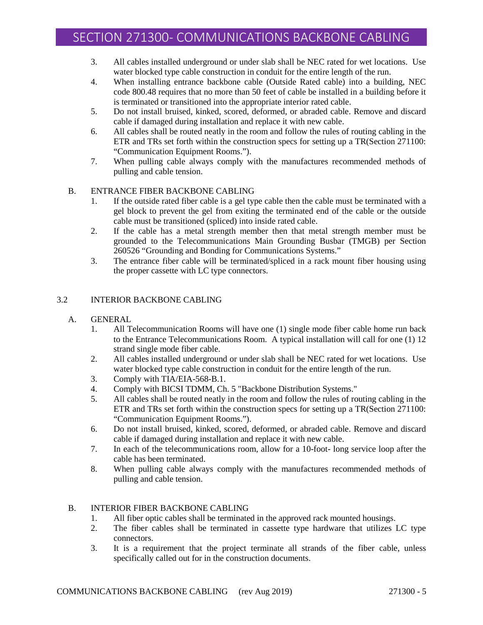- 3. All cables installed underground or under slab shall be NEC rated for wet locations. Use water blocked type cable construction in conduit for the entire length of the run.
- 4. When installing entrance backbone cable (Outside Rated cable) into a building, NEC code 800.48 requires that no more than 50 feet of cable be installed in a building before it is terminated or transitioned into the appropriate interior rated cable.
- 5. Do not install bruised, kinked, scored, deformed, or abraded cable. Remove and discard cable if damaged during installation and replace it with new cable.
- 6. All cables shall be routed neatly in the room and follow the rules of routing cabling in the ETR and TRs set forth within the construction specs for setting up a TR(Section 271100: "Communication Equipment Rooms.").
- 7. When pulling cable always comply with the manufactures recommended methods of pulling and cable tension.

# B. ENTRANCE FIBER BACKBONE CABLING

- 1. If the outside rated fiber cable is a gel type cable then the cable must be terminated with a gel block to prevent the gel from exiting the terminated end of the cable or the outside cable must be transitioned (spliced) into inside rated cable.
- 2. If the cable has a metal strength member then that metal strength member must be grounded to the Telecommunications Main Grounding Busbar (TMGB) per Section 260526 "Grounding and Bonding for Communications Systems."
- 3. The entrance fiber cable will be terminated/spliced in a rack mount fiber housing using the proper cassette with LC type connectors.

# 3.2 INTERIOR BACKBONE CABLING

- A. GENERAL
	- 1. All Telecommunication Rooms will have one (1) single mode fiber cable home run back to the Entrance Telecommunications Room. A typical installation will call for one (1) 12 strand single mode fiber cable.
	- 2. All cables installed underground or under slab shall be NEC rated for wet locations. Use water blocked type cable construction in conduit for the entire length of the run.
	- 3. Comply with TIA/EIA-568-B.1.
	- 4. Comply with BICSI TDMM, Ch. 5 "Backbone Distribution Systems."
	- 5. All cables shall be routed neatly in the room and follow the rules of routing cabling in the ETR and TRs set forth within the construction specs for setting up a TR(Section 271100: "Communication Equipment Rooms.").
	- 6. Do not install bruised, kinked, scored, deformed, or abraded cable. Remove and discard cable if damaged during installation and replace it with new cable.
	- 7. In each of the telecommunications room, allow for a 10-foot- long service loop after the cable has been terminated.
	- 8. When pulling cable always comply with the manufactures recommended methods of pulling and cable tension.

#### B. INTERIOR FIBER BACKBONE CABLING

- 1. All fiber optic cables shall be terminated in the approved rack mounted housings.
- 2. The fiber cables shall be terminated in cassette type hardware that utilizes LC type connectors.
- 3. It is a requirement that the project terminate all strands of the fiber cable, unless specifically called out for in the construction documents.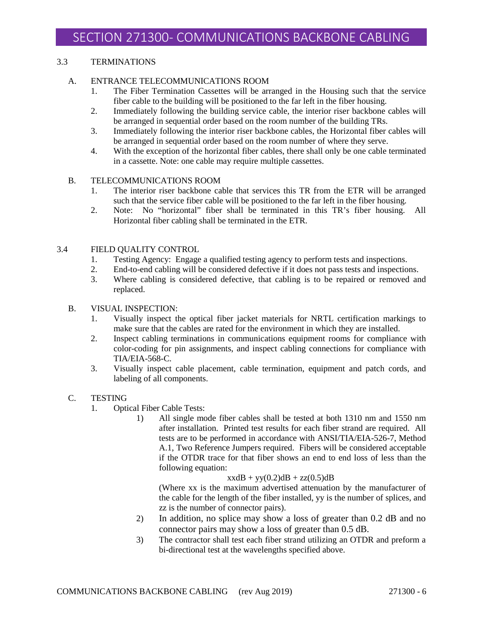# 3.3 TERMINATIONS

# A. ENTRANCE TELECOMMUNICATIONS ROOM

- 1. The Fiber Termination Cassettes will be arranged in the Housing such that the service fiber cable to the building will be positioned to the far left in the fiber housing.
- 2. Immediately following the building service cable, the interior riser backbone cables will be arranged in sequential order based on the room number of the building TRs.
- 3. Immediately following the interior riser backbone cables, the Horizontal fiber cables will be arranged in sequential order based on the room number of where they serve.
- 4. With the exception of the horizontal fiber cables, there shall only be one cable terminated in a cassette. Note: one cable may require multiple cassettes.

# B. TELECOMMUNICATIONS ROOM

- 1. The interior riser backbone cable that services this TR from the ETR will be arranged such that the service fiber cable will be positioned to the far left in the fiber housing.
- 2. Note: No "horizontal" fiber shall be terminated in this TR's fiber housing. All Horizontal fiber cabling shall be terminated in the ETR.

# 3.4 FIELD QUALITY CONTROL

- 1. Testing Agency: Engage a qualified testing agency to perform tests and inspections.
- 2. End-to-end cabling will be considered defective if it does not pass tests and inspections.
- 3. Where cabling is considered defective, that cabling is to be repaired or removed and replaced.

# B. VISUAL INSPECTION:

- 1. Visually inspect the optical fiber jacket materials for NRTL certification markings to make sure that the cables are rated for the environment in which they are installed.
- 2. Inspect cabling terminations in communications equipment rooms for compliance with color-coding for pin assignments, and inspect cabling connections for compliance with TIA/EIA-568-C.
- 3. Visually inspect cable placement, cable termination, equipment and patch cords, and labeling of all components.

#### C. TESTING

- 1. Optical Fiber Cable Tests:
	- 1) All single mode fiber cables shall be tested at both 1310 nm and 1550 nm after installation. Printed test results for each fiber strand are required. All tests are to be performed in accordance with ANSI/TIA/EIA-526-7, Method A.1, Two Reference Jumpers required. Fibers will be considered acceptable if the OTDR trace for that fiber shows an end to end loss of less than the following equation:

 $xxdB + yy(0.2)dB + zz(0.5)dB$ 

(Where xx is the maximum advertised attenuation by the manufacturer of the cable for the length of the fiber installed, yy is the number of splices, and zz is the number of connector pairs).

- 2) In addition, no splice may show a loss of greater than 0.2 dB and no connector pairs may show a loss of greater than 0.5 dB.
- 3) The contractor shall test each fiber strand utilizing an OTDR and preform a bi-directional test at the wavelengths specified above.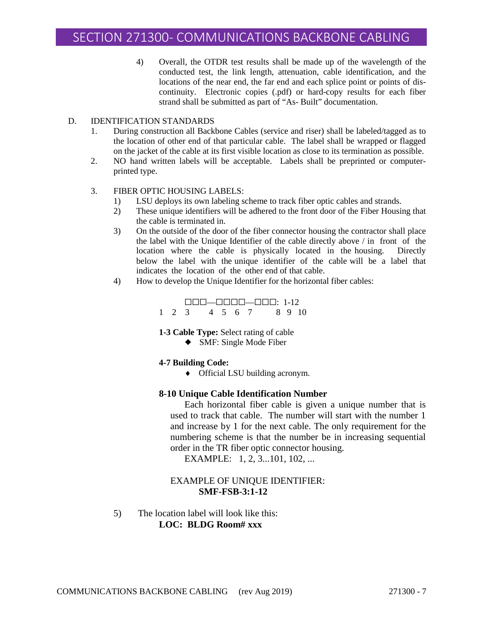4) Overall, the OTDR test results shall be made up of the wavelength of the conducted test, the link length, attenuation, cable identification, and the locations of the near end, the far end and each splice point or points of discontinuity. Electronic copies (.pdf) or hard-copy results for each fiber strand shall be submitted as part of "As- Built" documentation.

#### D. IDENTIFICATION STANDARDS

- 1. During construction all Backbone Cables (service and riser) shall be labeled/tagged as to the location of other end of that particular cable. The label shall be wrapped or flagged on the jacket of the cable at its first visible location as close to its termination as possible.
- 2. NO hand written labels will be acceptable. Labels shall be preprinted or computerprinted type.

### 3. FIBER OPTIC HOUSING LABELS:

- 1) LSU deploys its own labeling scheme to track fiber optic cables and strands.
- 2) These unique identifiers will be adhered to the front door of the Fiber Housing that the cable is terminated in.
- 3) On the outside of the door of the fiber connector housing the contractor shall place the label with the Unique Identifier of the cable directly above / in front of the location where the cable is physically located in the housing. Directly below the label with the unique identifier of the cable will be a label that indicates the location of the other end of that cable.
- 4) How to develop the Unique Identifier for the horizontal fiber cables:

|  | $\Box \Box \Box \Box \Box \Box \Box \Box \Box \Box \Box \Box \Box \Box \Box$ |               |  |  |  |  |  |      |
|--|------------------------------------------------------------------------------|---------------|--|--|--|--|--|------|
|  |                                                                              | 1 2 3 4 5 6 7 |  |  |  |  |  | 8910 |

**1-3 Cable Type:** Select rating of cable

◆ SMF: Single Mode Fiber

#### **4-7 Building Code:**

♦ Official LSU building acronym.

#### **8-10 Unique Cable Identification Number**

Each horizontal fiber cable is given a unique number that is used to track that cable. The number will start with the number 1 and increase by 1 for the next cable. The only requirement for the numbering scheme is that the number be in increasing sequential order in the TR fiber optic connector housing.

EXAMPLE: 1, 2, 3...101, 102, ...

# EXAMPLE OF UNIQUE IDENTIFIER: **SMF-FSB-3:1-12**

5) The location label will look like this: **LOC: BLDG Room# xxx**